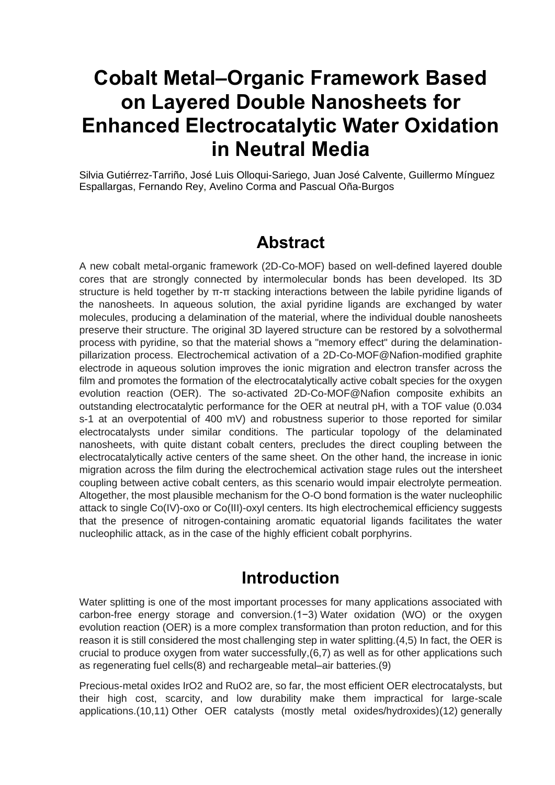# **Cobalt Metal–Organic Framework Based on Layered Double Nanosheets for Enhanced Electrocatalytic Water Oxidation in Neutral Media**

Silvia Gutiérrez-Tarriño, José Luis Olloqui-Sariego, Juan José Calvente, Guillermo Mínguez Espallargas, Fernando Rey, Avelino Corma and Pascual Oña-Burgos

### **Abstract**

A new cobalt metal-organic framework (2D-Co-MOF) based on well-defined layered double cores that are strongly connected by intermolecular bonds has been developed. Its 3D structure is held together by π-π stacking interactions between the labile pyridine ligands of the nanosheets. In aqueous solution, the axial pyridine ligands are exchanged by water molecules, producing a delamination of the material, where the individual double nanosheets preserve their structure. The original 3D layered structure can be restored by a solvothermal process with pyridine, so that the material shows a "memory effect" during the delaminationpillarization process. Electrochemical activation of a 2D-Co-MOF@Nafion-modified graphite electrode in aqueous solution improves the ionic migration and electron transfer across the film and promotes the formation of the electrocatalytically active cobalt species for the oxygen evolution reaction (OER). The so-activated 2D-Co-MOF@Nafion composite exhibits an outstanding electrocatalytic performance for the OER at neutral pH, with a TOF value (0.034 s-1 at an overpotential of 400 mV) and robustness superior to those reported for similar electrocatalysts under similar conditions. The particular topology of the delaminated nanosheets, with quite distant cobalt centers, precludes the direct coupling between the electrocatalytically active centers of the same sheet. On the other hand, the increase in ionic migration across the film during the electrochemical activation stage rules out the intersheet coupling between active cobalt centers, as this scenario would impair electrolyte permeation. Altogether, the most plausible mechanism for the O-O bond formation is the water nucleophilic attack to single Co(IV)-oxo or Co(III)-oxyl centers. Its high electrochemical efficiency suggests that the presence of nitrogen-containing aromatic equatorial ligands facilitates the water nucleophilic attack, as in the case of the highly efficient cobalt porphyrins.

### **Introduction**

Water splitting is one of the most important processes for many applications associated with carbon-free energy storage and conversion[.\(1−3\)](javascript:void(0);) Water oxidation (WO) or the oxygen evolution reaction (OER) is a more complex transformation than proton reduction, and for this reason it is still considered the most challenging step in water splitting[.\(4,5\)](javascript:void(0);) In fact, the OER is crucial to produce oxygen from water successfully[,\(6,7\)](javascript:void(0);) as well as for other applications such as regenerating fuel cell[s\(8\)](javascript:void(0);) and rechargeable metal–air batteries[.\(9\)](javascript:void(0);)

Precious-metal oxides IrO2 and RuO2 are, so far, the most efficient OER electrocatalysts, but their high cost, scarcity, and low durability make them impractical for large-scale applications[.\(10,11\)](javascript:void(0);) Other OER catalysts (mostly metal oxides/hydroxides[\)\(12\)](javascript:void(0);) generally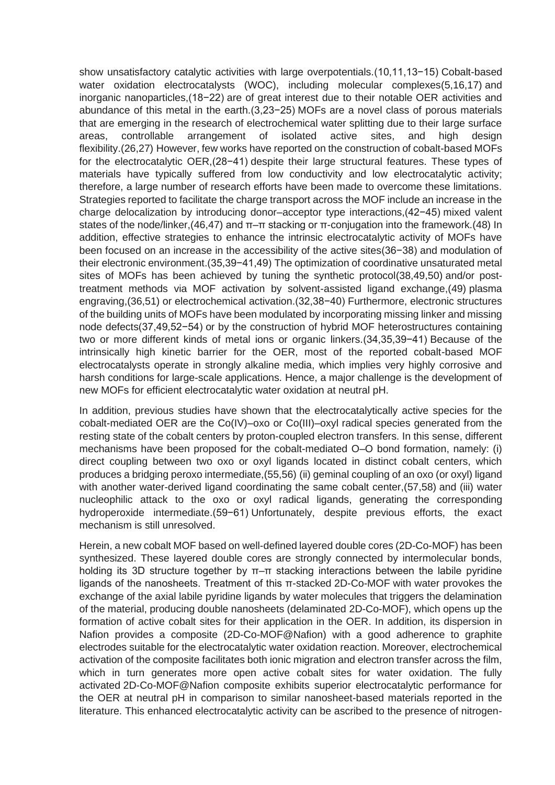show unsatisfactory catalytic activities with large overpotentials[.\(10,11,13−15\)](javascript:void(0);) Cobalt-based water oxidation electrocatalysts (WOC), including molecular complexe[s\(5,16,17\)](javascript:void(0);) and inorganic nanoparticles[,\(18−22\)](javascript:void(0);) are of great interest due to their notable OER activities and abundance of this metal in the earth[.\(3,23−25\)](javascript:void(0);) MOFs are a novel class of porous materials that are emerging in the research of electrochemical water splitting due to their large surface areas, controllable arrangement of isolated active sites, and high design flexibility[.\(26,27\)](javascript:void(0);) However, few works have reported on the construction of cobalt-based MOFs for the electrocatalytic OER[,\(28−41\)](javascript:void(0);) despite their large structural features. These types of materials have typically suffered from low conductivity and low electrocatalytic activity; therefore, a large number of research efforts have been made to overcome these limitations. Strategies reported to facilitate the charge transport across the MOF include an increase in the charge delocalization by introducing donor–acceptor type interactions[,\(42−45\)](javascript:void(0);) mixed valent states of the node/linker[,\(46,47\)](javascript:void(0);) and π–π stacking or π-conjugation into the framework[.\(48\)](javascript:void(0);) In addition, effective strategies to enhance the intrinsic electrocatalytic activity of MOFs have been focused on an increase in the accessibility of the active site[s\(36−38\)](javascript:void(0);) and modulation of their electronic environment[.\(35,39−41,49\)](javascript:void(0);) The optimization of coordinative unsaturated metal sites of MOFs has been achieved by tuning the synthetic protoc[ol\(38,49,50\)](javascript:void(0);) and/or posttreatment methods via MOF activation by solvent-assisted ligand exchange[,\(49\)](javascript:void(0);) plasma engraving[,\(36,51\)](javascript:void(0);) or electrochemical activation[.\(32,38−40\)](javascript:void(0);) Furthermore, electronic structures of the building units of MOFs have been modulated by incorporating missing linker and missing node defect[s\(37,49,52−54\)](javascript:void(0);) or by the construction of hybrid MOF heterostructures containing two or more different kinds of metal ions or organic linkers[.\(34,35,39−41\)](javascript:void(0);) Because of the intrinsically high kinetic barrier for the OER, most of the reported cobalt-based MOF electrocatalysts operate in strongly alkaline media, which implies very highly corrosive and harsh conditions for large-scale applications. Hence, a major challenge is the development of new MOFs for efficient electrocatalytic water oxidation at neutral pH.

In addition, previous studies have shown that the electrocatalytically active species for the cobalt-mediated OER are the Co(IV)–oxo or Co(III)–oxyl radical species generated from the resting state of the cobalt centers by proton-coupled electron transfers. In this sense, different mechanisms have been proposed for the cobalt-mediated O–O bond formation, namely: (i) direct coupling between two oxo or oxyl ligands located in distinct cobalt centers, which produces a bridging peroxo intermediate[,\(55,56\)](javascript:void(0);) (ii) geminal coupling of an oxo (or oxyl) ligand with another water-derived ligand coordinating the same cobalt center[,\(57,58\)](javascript:void(0);) and (iii) water nucleophilic attack to the oxo or oxyl radical ligands, generating the corresponding hydroperoxide intermediate[.\(59−61\)](javascript:void(0);) Unfortunately, despite previous efforts, the exact mechanism is still unresolved.

Herein, a new cobalt MOF based on well-defined layered double cores (2D-Co-MOF) has been synthesized. These layered double cores are strongly connected by intermolecular bonds, holding its 3D structure together by π–π stacking interactions between the labile pyridine ligands of the nanosheets. Treatment of this π-stacked 2D-Co-MOF with water provokes the exchange of the axial labile pyridine ligands by water molecules that triggers the delamination of the material, producing double nanosheets (delaminated 2D-Co-MOF), which opens up the formation of active cobalt sites for their application in the OER. In addition, its dispersion in Nafion provides a composite (2D-Co-MOF@Nafion) with a good adherence to graphite electrodes suitable for the electrocatalytic water oxidation reaction. Moreover, electrochemical activation of the composite facilitates both ionic migration and electron transfer across the film, which in turn generates more open active cobalt sites for water oxidation. The fully activated 2D-Co-MOF@Nafion composite exhibits superior electrocatalytic performance for the OER at neutral pH in comparison to similar nanosheet-based materials reported in the literature. This enhanced electrocatalytic activity can be ascribed to the presence of nitrogen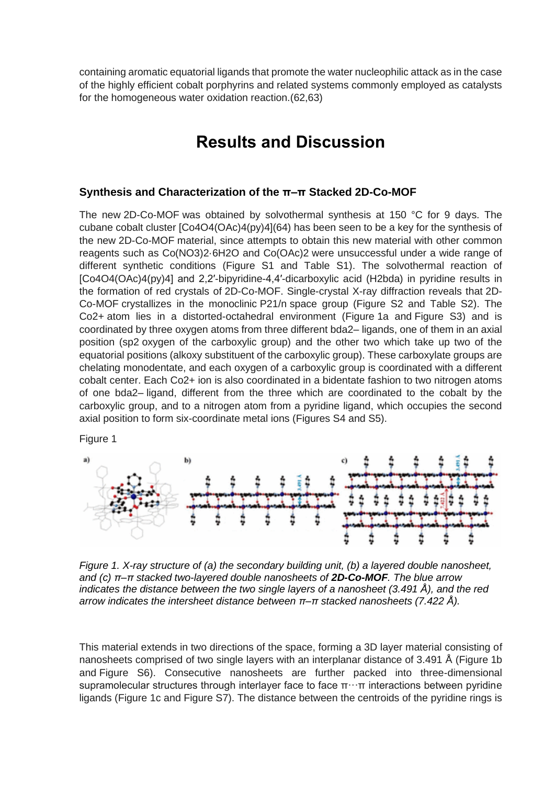containing aromatic equatorial ligands that promote the water nucleophilic attack as in the case of the highly efficient cobalt porphyrins and related systems commonly employed as catalysts for the homogeneous water oxidation reaction[.\(62,63\)](javascript:void(0);)

## **Results and Discussion**

#### **Synthesis and Characterization of the π–π Stacked 2D-Co-MOF**

The new 2D-Co-MOF was obtained by solvothermal synthesis at 150 °C for 9 days. The cubane cobalt cluster [Co4O4(OAc)4(py)4[\]\(64\)](javascript:void(0);) has been seen to be a key for the synthesis of the new 2D-Co-MOF material, since attempts to obtain this new material with other common reagents such as Co(NO3)2·6H2O and Co(OAc)2 were unsuccessful under a wide range of different synthetic conditions [\(Figure S1 and Table S1\)](https://pubs.acs.org/doi/suppl/10.1021/jacs.0c08882/suppl_file/ja0c08882_si_001.pdf). The solvothermal reaction of [Co4O4(OAc)4(py)4] and 2,2′-bipyridine-4,4′-dicarboxylic acid (H2bda) in pyridine results in the formation of red crystals of 2D-Co-MOF. Single-crystal X-ray diffraction reveals that 2D-Co-MOF crystallizes in the monoclinic P21/n space group [\(Figure S2 and Table S2\)](https://pubs.acs.org/doi/suppl/10.1021/jacs.0c08882/suppl_file/ja0c08882_si_001.pdf). The Co2+ atom lies in a distorted-octahedral environment [\(Figure](https://pubs.acs.org/doi/10.1021/jacs.0c08882#fig1) [1a](https://pubs.acs.org/doi/10.1021/jacs.0c08882#fig1) and [Figure S3\)](https://pubs.acs.org/doi/suppl/10.1021/jacs.0c08882/suppl_file/ja0c08882_si_001.pdf) and is coordinated by three oxygen atoms from three different bda2– ligands, one of them in an axial position (sp2 oxygen of the carboxylic group) and the other two which take up two of the equatorial positions (alkoxy substituent of the carboxylic group). These carboxylate groups are chelating monodentate, and each oxygen of a carboxylic group is coordinated with a different cobalt center. Each Co2+ ion is also coordinated in a bidentate fashion to two nitrogen atoms of one bda2– ligand, different from the three which are coordinated to the cobalt by the carboxylic group, and to a nitrogen atom from a pyridine ligand, which occupies the second axial position to form six-coordinate metal ions [\(Figures S4 and S5\)](https://pubs.acs.org/doi/suppl/10.1021/jacs.0c08882/suppl_file/ja0c08882_si_001.pdf).

Figure 1



*Figure 1. X-ray structure of (a) the secondary building unit, (b) a layered double nanosheet, and (c) π–π stacked two-layered double nanosheets of 2D-Co-MOF. The blue arrow indicates the distance between the two single layers of a nanosheet (3.491 Å), and the red arrow indicates the intersheet distance between π–π stacked nanosheets (7.422 Å).*

This material extends in two directions of the space, forming a 3D layer material consisting of nanosheets comprised of two single layers with an interplanar distance of 3.491 Å [\(Figure](https://pubs.acs.org/doi/10.1021/jacs.0c08882#fig1) [1b](https://pubs.acs.org/doi/10.1021/jacs.0c08882#fig1) and [Figure S6\)](https://pubs.acs.org/doi/suppl/10.1021/jacs.0c08882/suppl_file/ja0c08882_si_001.pdf). Consecutive nanosheets are further packed into three-dimensional supramolecular structures through interlayer face to face  $\pi \cdots \pi$  interactions between pyridine ligands [\(Figure](https://pubs.acs.org/doi/10.1021/jacs.0c08882#fig1) [1c](https://pubs.acs.org/doi/10.1021/jacs.0c08882#fig1) and [Figure S7\)](https://pubs.acs.org/doi/suppl/10.1021/jacs.0c08882/suppl_file/ja0c08882_si_001.pdf). The distance between the centroids of the pyridine rings is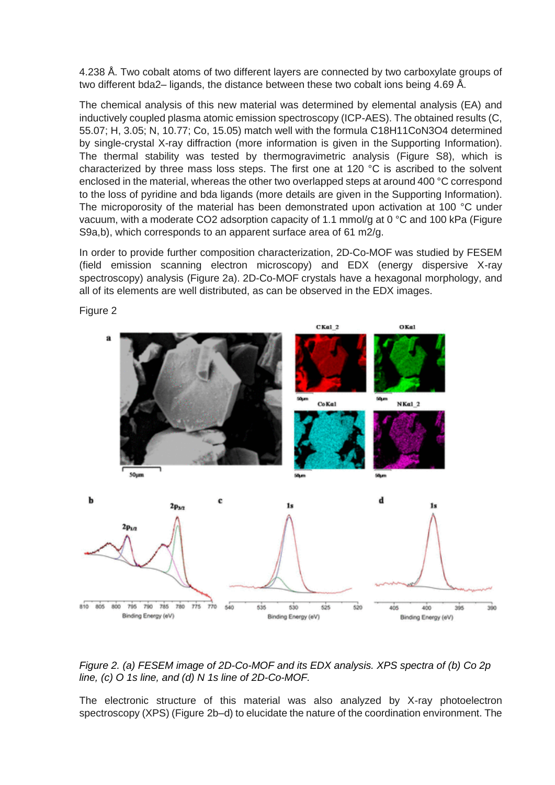4.238 Å. Two cobalt atoms of two different layers are connected by two carboxylate groups of two different bda2– ligands, the distance between these two cobalt ions being 4.69 Å.

The chemical analysis of this new material was determined by elemental analysis (EA) and inductively coupled plasma atomic emission spectroscopy (ICP-AES). The obtained results (C, 55.07; H, 3.05; N, 10.77; Co, 15.05) match well with the formula C18H11CoN3O4 determined by single-crystal X-ray diffraction (more information is given in the [Supporting Information\)](https://pubs.acs.org/doi/suppl/10.1021/jacs.0c08882/suppl_file/ja0c08882_si_001.pdf). The thermal stability was tested by thermogravimetric analysis [\(Figure S8\)](https://pubs.acs.org/doi/suppl/10.1021/jacs.0c08882/suppl_file/ja0c08882_si_001.pdf), which is characterized by three mass loss steps. The first one at 120 °C is ascribed to the solvent enclosed in the material, whereas the other two overlapped steps at around 400 °C correspond to the loss of pyridine and bda ligands (more details are given in the [Supporting Information\)](https://pubs.acs.org/doi/suppl/10.1021/jacs.0c08882/suppl_file/ja0c08882_si_001.pdf). The microporosity of the material has been demonstrated upon activation at 100 °C under vacuum, with a moderate CO2 adsorption capacity of 1.1 mmol/g at 0 °C and 100 kPa [\(Figure](https://pubs.acs.org/doi/suppl/10.1021/jacs.0c08882/suppl_file/ja0c08882_si_001.pdf)  [S9a,b\)](https://pubs.acs.org/doi/suppl/10.1021/jacs.0c08882/suppl_file/ja0c08882_si_001.pdf), which corresponds to an apparent surface area of 61 m2/g.

In order to provide further composition characterization, 2D-Co-MOF was studied by FESEM (field emission scanning electron microscopy) and EDX (energy dispersive X-ray spectroscopy) analysis [\(Figure](https://pubs.acs.org/doi/10.1021/jacs.0c08882#fig2) [2a](https://pubs.acs.org/doi/10.1021/jacs.0c08882#fig2)). 2D-Co-MOF crystals have a hexagonal morphology, and all of its elements are well distributed, as can be observed in the EDX images.



Figure 2

*Figure 2. (a) FESEM image of 2D-Co-MOF and its EDX analysis. XPS spectra of (b) Co 2p line, (c) O 1s line, and (d) N 1s line of 2D-Co-MOF.*

The electronic structure of this material was also analyzed by X-ray photoelectron spectroscopy (XPS) [\(Figure](https://pubs.acs.org/doi/10.1021/jacs.0c08882#fig2) [2b](https://pubs.acs.org/doi/10.1021/jacs.0c08882#fig2)–d) to elucidate the nature of the coordination environment. The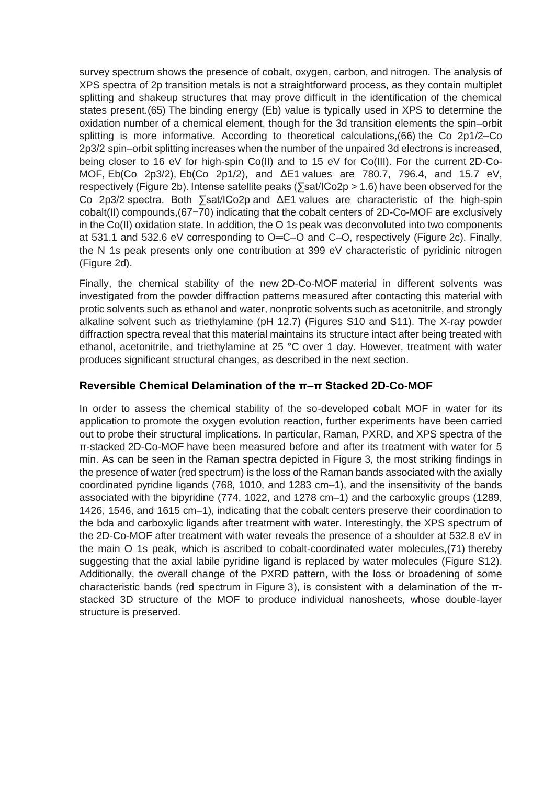survey spectrum shows the presence of cobalt, oxygen, carbon, and nitrogen. The analysis of XPS spectra of 2p transition metals is not a straightforward process, as they contain multiplet splitting and shakeup structures that may prove difficult in the identification of the chemical states present[.\(65\)](javascript:void(0);) The binding energy (Eb) value is typically used in XPS to determine the oxidation number of a chemical element, though for the 3d transition elements the spin–orbit splitting is more informative. According to theoretical calculations[,\(66\)](javascript:void(0);) the Co 2p1/2–Co 2p3/2 spin–orbit splitting increases when the number of the unpaired 3d electrons is increased, being closer to 16 eV for high-spin Co(II) and to 15 eV for Co(III). For the current 2D-Co-MOF, Eb(Co 2p3/2), Eb(Co 2p1/2), and ΔE1 values are 780.7, 796.4, and 15.7 eV, respectively [\(Figure](https://pubs.acs.org/doi/10.1021/jacs.0c08882#fig2) [2b](https://pubs.acs.org/doi/10.1021/jacs.0c08882#fig2)). Intense satellite peaks (∑sat/ICo2p > 1.6) have been observed for the Co 2p3/2 spectra. Both ∑sat/ICo2p and ΔE1 values are characteristic of the high-spin cobalt(II) compounds[,\(67−70\)](javascript:void(0);) indicating that the cobalt centers of 2D-Co-MOF are exclusively in the Co(II) oxidation state. In addition, the O 1s peak was deconvoluted into two components at 531.1 and 532.6 eV corresponding to O═C–O and C–O, respectively [\(Figure](https://pubs.acs.org/doi/10.1021/jacs.0c08882#fig2) [2c](https://pubs.acs.org/doi/10.1021/jacs.0c08882#fig2)). Finally, the N 1s peak presents only one contribution at 399 eV characteristic of pyridinic nitrogen [\(Figure](https://pubs.acs.org/doi/10.1021/jacs.0c08882#fig2) [2d](https://pubs.acs.org/doi/10.1021/jacs.0c08882#fig2)).

Finally, the chemical stability of the new 2D-Co-MOF material in different solvents was investigated from the powder diffraction patterns measured after contacting this material with protic solvents such as ethanol and water, nonprotic solvents such as acetonitrile, and strongly alkaline solvent such as triethylamine (pH 12.7) [\(Figures S10 and S11\)](https://pubs.acs.org/doi/suppl/10.1021/jacs.0c08882/suppl_file/ja0c08882_si_001.pdf). The X-ray powder diffraction spectra reveal that this material maintains its structure intact after being treated with ethanol, acetonitrile, and triethylamine at 25 °C over 1 day. However, treatment with water produces significant structural changes, as described in the next section.

#### **Reversible Chemical Delamination of the π–π Stacked 2D-Co-MOF**

In order to assess the chemical stability of the so-developed cobalt MOF in water for its application to promote the oxygen evolution reaction, further experiments have been carried out to probe their structural implications. In particular, Raman, PXRD, and XPS spectra of the π-stacked 2D-Co-MOF have been measured before and after its treatment with water for 5 min. As can be seen in the Raman spectra depicted in [Figure](https://pubs.acs.org/doi/10.1021/jacs.0c08882#fig3) [3,](https://pubs.acs.org/doi/10.1021/jacs.0c08882#fig3) the most striking findings in the presence of water (red spectrum) is the loss of the Raman bands associated with the axially coordinated pyridine ligands (768, 1010, and 1283 cm–1), and the insensitivity of the bands associated with the bipyridine (774, 1022, and 1278 cm–1) and the carboxylic groups (1289, 1426, 1546, and 1615 cm–1), indicating that the cobalt centers preserve their coordination to the bda and carboxylic ligands after treatment with water. Interestingly, the XPS spectrum of the 2D-Co-MOF after treatment with water reveals the presence of a shoulder at 532.8 eV in the main O 1s peak, which is ascribed to cobalt-coordinated water molecules[,\(71\)](javascript:void(0);) thereby suggesting that the axial labile pyridine ligand is replaced by water molecules [\(Figure S12\)](https://pubs.acs.org/doi/suppl/10.1021/jacs.0c08882/suppl_file/ja0c08882_si_001.pdf). Additionally, the overall change of the PXRD pattern, with the loss or broadening of some characteristic bands (red spectrum in [Figure](https://pubs.acs.org/doi/10.1021/jacs.0c08882#fig3) [3\)](https://pubs.acs.org/doi/10.1021/jacs.0c08882#fig3), is consistent with a delamination of the πstacked 3D structure of the MOF to produce individual nanosheets, whose double-layer structure is preserved.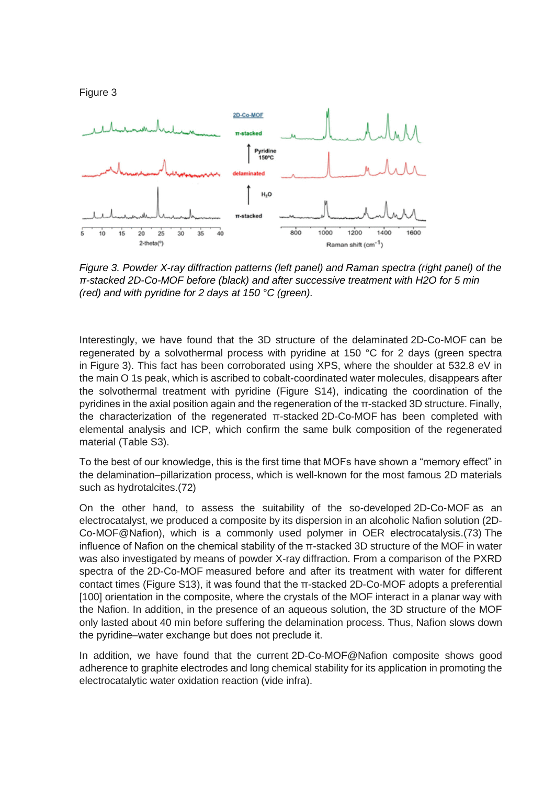

*Figure 3. Powder X-ray diffraction patterns (left panel) and Raman spectra (right panel) of the π-stacked 2D-Co-MOF before (black) and after successive treatment with H2O for 5 min (red) and with pyridine for 2 days at 150 °C (green).*

Interestingly, we have found that the 3D structure of the delaminated 2D-Co-MOF can be regenerated by a solvothermal process with pyridine at 150 °C for 2 days (green spectra in [Figure](https://pubs.acs.org/doi/10.1021/jacs.0c08882#fig3) [3\)](https://pubs.acs.org/doi/10.1021/jacs.0c08882#fig3). This fact has been corroborated using XPS, where the shoulder at 532.8 eV in the main O 1s peak, which is ascribed to cobalt-coordinated water molecules, disappears after the solvothermal treatment with pyridine [\(Figure S14\)](https://pubs.acs.org/doi/suppl/10.1021/jacs.0c08882/suppl_file/ja0c08882_si_001.pdf), indicating the coordination of the pyridines in the axial position again and the regeneration of the π-stacked 3D structure. Finally, the characterization of the regenerated π-stacked 2D-Co-MOF has been completed with elemental analysis and ICP, which confirm the same bulk composition of the regenerated material [\(Table S3\)](https://pubs.acs.org/doi/suppl/10.1021/jacs.0c08882/suppl_file/ja0c08882_si_001.pdf).

To the best of our knowledge, this is the first time that MOFs have shown a "memory effect" in the delamination–pillarization process, which is well-known for the most famous 2D materials such as hydrotalcites[.\(72\)](javascript:void(0);)

On the other hand, to assess the suitability of the so-developed 2D-Co-MOF as an electrocatalyst, we produced a composite by its dispersion in an alcoholic Nafion solution (2D-Co-MOF@Nafion), which is a commonly used polymer in OER electrocatalysis[.\(73\)](javascript:void(0);) The influence of Nafion on the chemical stability of the π-stacked 3D structure of the MOF in water was also investigated by means of powder X-ray diffraction. From a comparison of the PXRD spectra of the 2D-Co-MOF measured before and after its treatment with water for different contact times [\(Figure S13\)](https://pubs.acs.org/doi/suppl/10.1021/jacs.0c08882/suppl_file/ja0c08882_si_001.pdf), it was found that the π-stacked 2D-Co-MOF adopts a preferential [100] orientation in the composite, where the crystals of the MOF interact in a planar way with the Nafion. In addition, in the presence of an aqueous solution, the 3D structure of the MOF only lasted about 40 min before suffering the delamination process. Thus, Nafion slows down the pyridine–water exchange but does not preclude it.

In addition, we have found that the current 2D-Co-MOF@Nafion composite shows good adherence to graphite electrodes and long chemical stability for its application in promoting the electrocatalytic water oxidation reaction (vide infra).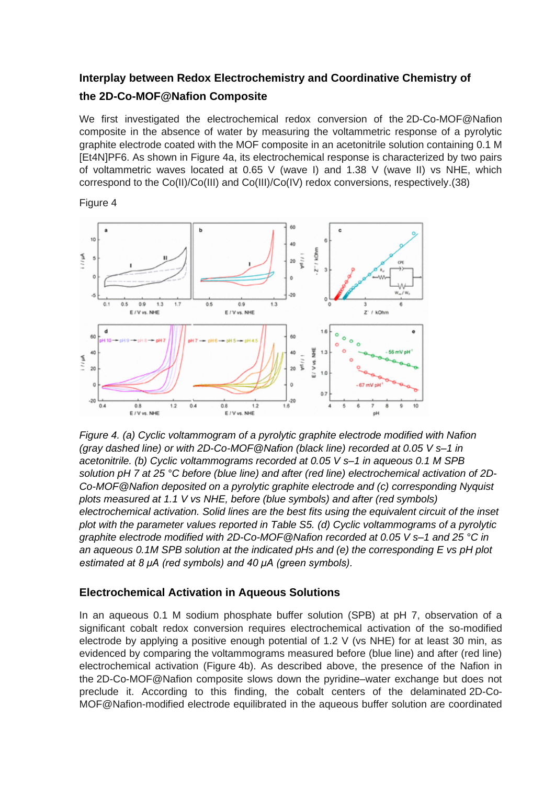### **Interplay between Redox Electrochemistry and Coordinative Chemistry of the 2D-Co-MOF@Nafion Composite**

We first investigated the electrochemical redox conversion of the 2D-Co-MOF@Nafion composite in the absence of water by measuring the voltammetric response of a pyrolytic graphite electrode coated with the MOF composite in an acetonitrile solution containing 0.1 M [Et4N]PF6. As shown in [Figure](https://pubs.acs.org/doi/10.1021/jacs.0c08882#fig4) [4a](https://pubs.acs.org/doi/10.1021/jacs.0c08882#fig4), its electrochemical response is characterized by two pairs of voltammetric waves located at 0.65 V (wave I) and 1.38 V (wave II) vs NHE, which correspond to the Co(II)/Co(III) and Co(III)/Co(IV) redox conversions, respectively[.\(38\)](javascript:void(0);)

#### Figure 4



*Figure 4. (a) Cyclic voltammogram of a pyrolytic graphite electrode modified with Nafion (gray dashed line) or with 2D-Co-MOF@Nafion (black line) recorded at 0.05 V s–1 in acetonitrile. (b) Cyclic voltammograms recorded at 0.05 V s–1 in aqueous 0.1 M SPB solution pH 7 at 25 °C before (blue line) and after (red line) electrochemical activation of 2D-Co-MOF@Nafion deposited on a pyrolytic graphite electrode and (c) corresponding Nyquist plots measured at 1.1 V vs NHE, before (blue symbols) and after (red symbols) electrochemical activation. Solid lines are the best fits using the equivalent circuit of the inset plot with the parameter values reported in [Table S5.](https://pubs.acs.org/doi/suppl/10.1021/jacs.0c08882/suppl_file/ja0c08882_si_001.pdf) (d) Cyclic voltammograms of a pyrolytic graphite electrode modified with 2D-Co-MOF@Nafion recorded at 0.05 V s–1 and 25 °C in an aqueous 0.1M SPB solution at the indicated pHs and (e) the corresponding E vs pH plot estimated at 8 μA (red symbols) and 40 μA (green symbols).*

#### **Electrochemical Activation in Aqueous Solutions**

In an aqueous 0.1 M sodium phosphate buffer solution (SPB) at pH 7, observation of a significant cobalt redox conversion requires electrochemical activation of the so-modified electrode by applying a positive enough potential of 1.2 V (vs NHE) for at least 30 min, as evidenced by comparing the voltammograms measured before (blue line) and after (red line) electrochemical activation [\(Figure](https://pubs.acs.org/doi/10.1021/jacs.0c08882#fig4) [4b](https://pubs.acs.org/doi/10.1021/jacs.0c08882#fig4)). As described above, the presence of the Nafion in the 2D-Co-MOF@Nafion composite slows down the pyridine–water exchange but does not preclude it. According to this finding, the cobalt centers of the delaminated 2D-Co-MOF@Nafion-modified electrode equilibrated in the aqueous buffer solution are coordinated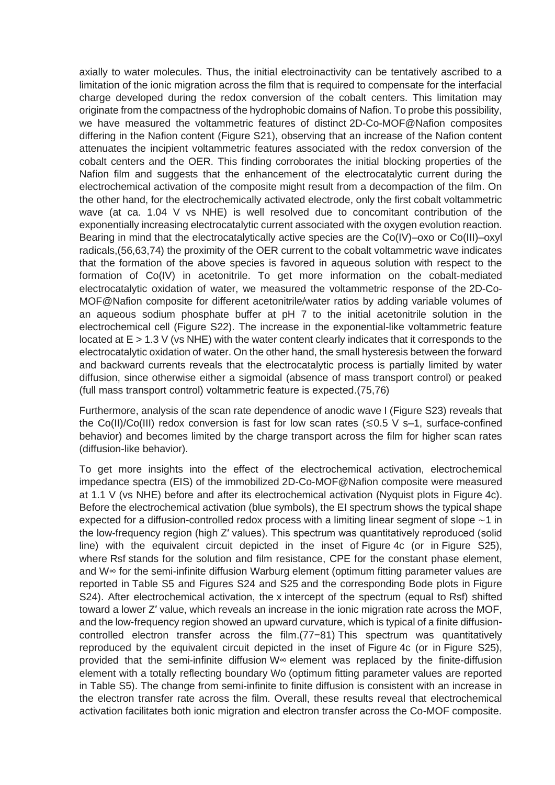axially to water molecules. Thus, the initial electroinactivity can be tentatively ascribed to a limitation of the ionic migration across the film that is required to compensate for the interfacial charge developed during the redox conversion of the cobalt centers. This limitation may originate from the compactness of the hydrophobic domains of Nafion. To probe this possibility, we have measured the voltammetric features of distinct 2D-Co-MOF@Nafion composites differing in the Nafion content [\(Figure S21\)](https://pubs.acs.org/doi/suppl/10.1021/jacs.0c08882/suppl_file/ja0c08882_si_001.pdf), observing that an increase of the Nafion content attenuates the incipient voltammetric features associated with the redox conversion of the cobalt centers and the OER. This finding corroborates the initial blocking properties of the Nafion film and suggests that the enhancement of the electrocatalytic current during the electrochemical activation of the composite might result from a decompaction of the film. On the other hand, for the electrochemically activated electrode, only the first cobalt voltammetric wave (at ca. 1.04 V vs NHE) is well resolved due to concomitant contribution of the exponentially increasing electrocatalytic current associated with the oxygen evolution reaction. Bearing in mind that the electrocatalytically active species are the Co(IV)–oxo or Co(III)–oxyl radicals[,\(56,63,74\)](javascript:void(0);) the proximity of the OER current to the cobalt voltammetric wave indicates that the formation of the above species is favored in aqueous solution with respect to the formation of Co(IV) in acetonitrile. To get more information on the cobalt-mediated electrocatalytic oxidation of water, we measured the voltammetric response of the 2D-Co-MOF@Nafion composite for different acetonitrile/water ratios by adding variable volumes of an aqueous sodium phosphate buffer at pH 7 to the initial acetonitrile solution in the electrochemical cell [\(Figure S22\)](https://pubs.acs.org/doi/suppl/10.1021/jacs.0c08882/suppl_file/ja0c08882_si_001.pdf). The increase in the exponential-like voltammetric feature located at E > 1.3 V (vs NHE) with the water content clearly indicates that it corresponds to the electrocatalytic oxidation of water. On the other hand, the small hysteresis between the forward and backward currents reveals that the electrocatalytic process is partially limited by water diffusion, since otherwise either a sigmoidal (absence of mass transport control) or peaked (full mass transport control) voltammetric feature is expected[.\(75,76\)](javascript:void(0);)

Furthermore, analysis of the scan rate dependence of anodic wave I [\(Figure S23\)](https://pubs.acs.org/doi/suppl/10.1021/jacs.0c08882/suppl_file/ja0c08882_si_001.pdf) reveals that the Co(II)/Co(III) redox conversion is fast for low scan rates ( $\leq 0.5$  V s–1, surface-confined behavior) and becomes limited by the charge transport across the film for higher scan rates (diffusion-like behavior).

To get more insights into the effect of the electrochemical activation, electrochemical impedance spectra (EIS) of the immobilized 2D-Co-MOF@Nafion composite were measured at 1.1 V (vs NHE) before and after its electrochemical activation (Nyquist plots in [Figure](https://pubs.acs.org/doi/10.1021/jacs.0c08882#fig4) [4c](https://pubs.acs.org/doi/10.1021/jacs.0c08882#fig4)). Before the electrochemical activation (blue symbols), the EI spectrum shows the typical shape expected for a diffusion-controlled redox process with a limiting linear segment of slope ∼1 in the low-frequency region (high Z′ values). This spectrum was quantitatively reproduced (solid line) with the equivalent circuit depicted in the inset of [Figure](https://pubs.acs.org/doi/10.1021/jacs.0c08882#fig4) [4c](https://pubs.acs.org/doi/10.1021/jacs.0c08882#fig4) (or in [Figure S25\)](https://pubs.acs.org/doi/suppl/10.1021/jacs.0c08882/suppl_file/ja0c08882_si_001.pdf), where Rsf stands for the solution and film resistance, CPE for the constant phase element, and W∞ for the semi-infinite diffusion Warburg element (optimum fitting parameter values are reported in [Table S5 and Figures S24 and S25](https://pubs.acs.org/doi/suppl/10.1021/jacs.0c08882/suppl_file/ja0c08882_si_001.pdf) and the corresponding Bode plots in [Figure](https://pubs.acs.org/doi/suppl/10.1021/jacs.0c08882/suppl_file/ja0c08882_si_001.pdf)  [S24\)](https://pubs.acs.org/doi/suppl/10.1021/jacs.0c08882/suppl_file/ja0c08882_si_001.pdf). After electrochemical activation, the x intercept of the spectrum (equal to Rsf) shifted toward a lower Z′ value, which reveals an increase in the ionic migration rate across the MOF, and the low-frequency region showed an upward curvature, which is typical of a finite diffusioncontrolled electron transfer across the film[.\(77−81\)](javascript:void(0);) This spectrum was quantitatively reproduced by the equivalent circuit depicted in the inset of [Figure](https://pubs.acs.org/doi/10.1021/jacs.0c08882#fig4) [4c](https://pubs.acs.org/doi/10.1021/jacs.0c08882#fig4) (or in [Figure S25\)](https://pubs.acs.org/doi/suppl/10.1021/jacs.0c08882/suppl_file/ja0c08882_si_001.pdf), provided that the semi-infinite diffusion W∞ element was replaced by the finite-diffusion element with a totally reflecting boundary Wo (optimum fitting parameter values are reported in [Table S5\)](https://pubs.acs.org/doi/suppl/10.1021/jacs.0c08882/suppl_file/ja0c08882_si_001.pdf). The change from semi-infinite to finite diffusion is consistent with an increase in the electron transfer rate across the film. Overall, these results reveal that electrochemical activation facilitates both ionic migration and electron transfer across the Co-MOF composite.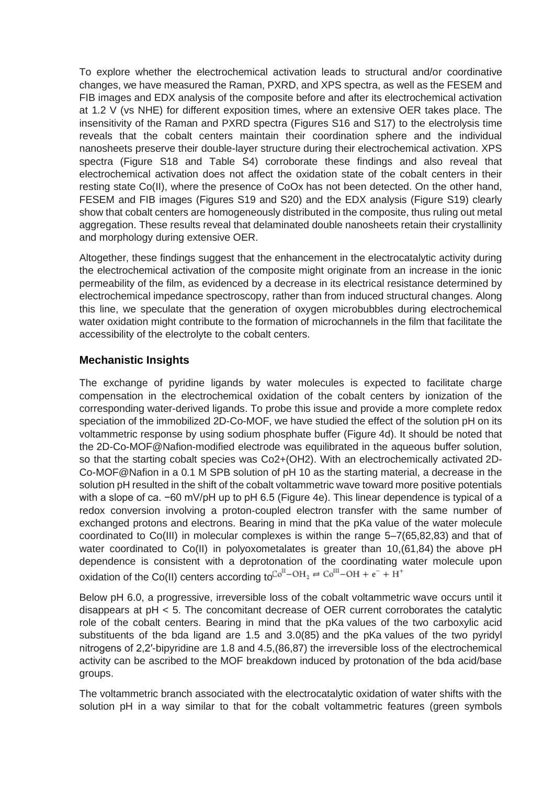To explore whether the electrochemical activation leads to structural and/or coordinative changes, we have measured the Raman, PXRD, and XPS spectra, as well as the FESEM and FIB images and EDX analysis of the composite before and after its electrochemical activation at 1.2 V (vs NHE) for different exposition times, where an extensive OER takes place. The insensitivity of the Raman and PXRD spectra [\(Figures S16 and S17\)](https://pubs.acs.org/doi/suppl/10.1021/jacs.0c08882/suppl_file/ja0c08882_si_001.pdf) to the electrolysis time reveals that the cobalt centers maintain their coordination sphere and the individual nanosheets preserve their double-layer structure during their electrochemical activation. XPS spectra [\(Figure S18 and Table S4\)](https://pubs.acs.org/doi/suppl/10.1021/jacs.0c08882/suppl_file/ja0c08882_si_001.pdf) corroborate these findings and also reveal that electrochemical activation does not affect the oxidation state of the cobalt centers in their resting state Co(II), where the presence of CoOx has not been detected. On the other hand, FESEM and FIB images [\(Figures S19 and S20\)](https://pubs.acs.org/doi/suppl/10.1021/jacs.0c08882/suppl_file/ja0c08882_si_001.pdf) and the EDX analysis [\(Figure S19\)](https://pubs.acs.org/doi/suppl/10.1021/jacs.0c08882/suppl_file/ja0c08882_si_001.pdf) clearly show that cobalt centers are homogeneously distributed in the composite, thus ruling out metal aggregation. These results reveal that delaminated double nanosheets retain their crystallinity and morphology during extensive OER.

Altogether, these findings suggest that the enhancement in the electrocatalytic activity during the electrochemical activation of the composite might originate from an increase in the ionic permeability of the film, as evidenced by a decrease in its electrical resistance determined by electrochemical impedance spectroscopy, rather than from induced structural changes. Along this line, we speculate that the generation of oxygen microbubbles during electrochemical water oxidation might contribute to the formation of microchannels in the film that facilitate the accessibility of the electrolyte to the cobalt centers.

#### **Mechanistic Insights**

The exchange of pyridine ligands by water molecules is expected to facilitate charge compensation in the electrochemical oxidation of the cobalt centers by ionization of the corresponding water-derived ligands. To probe this issue and provide a more complete redox speciation of the immobilized 2D-Co-MOF, we have studied the effect of the solution pH on its voltammetric response by using sodium phosphate buffer [\(Figure](https://pubs.acs.org/doi/10.1021/jacs.0c08882#fig4) [4d](https://pubs.acs.org/doi/10.1021/jacs.0c08882#fig4)). It should be noted that the 2D-Co-MOF@Nafion-modified electrode was equilibrated in the aqueous buffer solution, so that the starting cobalt species was Co2+(OH2). With an electrochemically activated 2D-Co-MOF@Nafion in a 0.1 M SPB solution of pH 10 as the starting material, a decrease in the solution pH resulted in the shift of the cobalt voltammetric wave toward more positive potentials with a slope of ca. −60 mV/pH up to pH 6.5 [\(Figure](https://pubs.acs.org/doi/10.1021/jacs.0c08882#fig4) [4e](https://pubs.acs.org/doi/10.1021/jacs.0c08882#fig4)). This linear dependence is typical of a redox conversion involving a proton-coupled electron transfer with the same number of exchanged protons and electrons. Bearing in mind that the pKa value of the water molecule coordinated to Co(III) in molecular complexes is within the range 5–[7\(65,82,83\)](javascript:void(0);) and that of water coordinated to Co(II) in polyoxometalates is greater than 10[,\(61,84\)](javascript:void(0);) the above pH dependence is consistent with a deprotonation of the coordinating water molecule upon oxidation of the Co(II) centers according to  $Co^{II}$  – OH<sub>2</sub> =  $Co^{III}$  – OH<sub>1</sub> +  $e^-$  + H<sup>+</sup>

Below pH 6.0, a progressive, irreversible loss of the cobalt voltammetric wave occurs until it disappears at pH < 5. The concomitant decrease of OER current corroborates the catalytic role of the cobalt centers. Bearing in mind that the pKa values of the two carboxylic acid substituents of the bda ligand are 1.5 and 3.[0\(85\)](javascript:void(0);) and the pKa values of the two pyridyl nitrogens of 2,2′-bipyridine are 1.8 and 4.5[,\(86,87\)](javascript:void(0);) the irreversible loss of the electrochemical activity can be ascribed to the MOF breakdown induced by protonation of the bda acid/base groups.

The voltammetric branch associated with the electrocatalytic oxidation of water shifts with the solution pH in a way similar to that for the cobalt voltammetric features (green symbols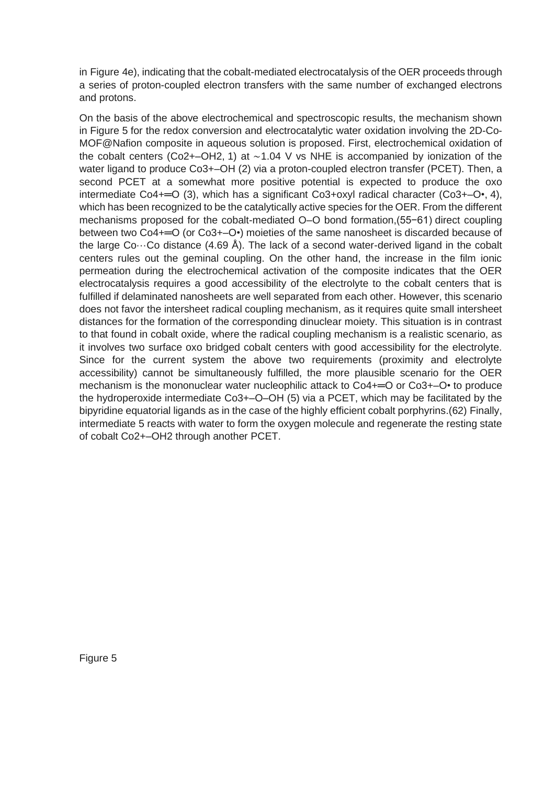in [Figure](https://pubs.acs.org/doi/10.1021/jacs.0c08882#fig4) [4e](https://pubs.acs.org/doi/10.1021/jacs.0c08882#fig4)), indicating that the cobalt-mediated electrocatalysis of the OER proceeds through a series of proton-coupled electron transfers with the same number of exchanged electrons and protons.

On the basis of the above electrochemical and spectroscopic results, the mechanism shown in [Figure](https://pubs.acs.org/doi/10.1021/jacs.0c08882#fig5) [5](https://pubs.acs.org/doi/10.1021/jacs.0c08882#fig5) for the redox conversion and electrocatalytic water oxidation involving the 2D-Co-MOF@Nafion composite in aqueous solution is proposed. First, electrochemical oxidation of the cobalt centers (Co2+–OH2, 1) at ∼1.04 V vs NHE is accompanied by ionization of the water ligand to produce Co3+–OH (2) via a proton-coupled electron transfer (PCET). Then, a second PCET at a somewhat more positive potential is expected to produce the oxo intermediate Co4+═O (3), which has a significant Co3+oxyl radical character (Co3+–O•, 4), which has been recognized to be the catalytically active species for the OER. From the different mechanisms proposed for the cobalt-mediated O–O bond formation[,\(55−61\)](javascript:void(0);) direct coupling between two Co4+= O (or Co3+– O•) moieties of the same nanosheet is discarded because of the large Co $\cdots$ Co distance (4.69 Å). The lack of a second water-derived ligand in the cobalt centers rules out the geminal coupling. On the other hand, the increase in the film ionic permeation during the electrochemical activation of the composite indicates that the OER electrocatalysis requires a good accessibility of the electrolyte to the cobalt centers that is fulfilled if delaminated nanosheets are well separated from each other. However, this scenario does not favor the intersheet radical coupling mechanism, as it requires quite small intersheet distances for the formation of the corresponding dinuclear moiety. This situation is in contrast to that found in cobalt oxide, where the radical coupling mechanism is a realistic scenario, as it involves two surface oxo bridged cobalt centers with good accessibility for the electrolyte. Since for the current system the above two requirements (proximity and electrolyte accessibility) cannot be simultaneously fulfilled, the more plausible scenario for the OER mechanism is the mononuclear water nucleophilic attack to Co4+= O or Co3+– O• to produce the hydroperoxide intermediate Co3+–O–OH (5) via a PCET, which may be facilitated by the bipyridine equatorial ligands as in the case of the highly efficient cobalt porphyrins[.\(62\)](javascript:void(0);) Finally, intermediate 5 reacts with water to form the oxygen molecule and regenerate the resting state of cobalt Co2+–OH2 through another PCET.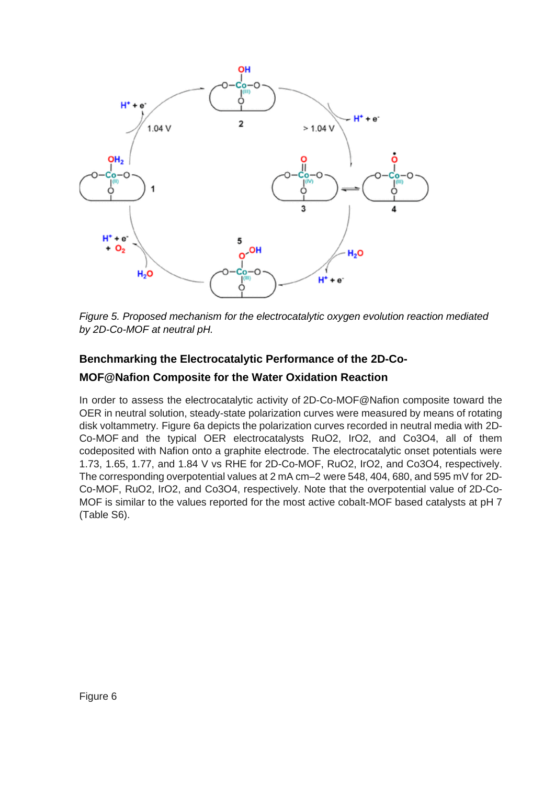

*Figure 5. Proposed mechanism for the electrocatalytic oxygen evolution reaction mediated by 2D-Co-MOF at neutral pH.*

#### **Benchmarking the Electrocatalytic Performance of the 2D-Co-**

#### **MOF@Nafion Composite for the Water Oxidation Reaction**

In order to assess the electrocatalytic activity of 2D-Co-MOF@Nafion composite toward the OER in neutral solution, steady-state polarization curves were measured by means of rotating disk voltammetry. [Figure](https://pubs.acs.org/doi/10.1021/jacs.0c08882#fig6) [6a](https://pubs.acs.org/doi/10.1021/jacs.0c08882#fig6) depicts the polarization curves recorded in neutral media with 2D-Co-MOF and the typical OER electrocatalysts RuO2, IrO2, and Co3O4, all of them codeposited with Nafion onto a graphite electrode. The electrocatalytic onset potentials were 1.73, 1.65, 1.77, and 1.84 V vs RHE for 2D-Co-MOF, RuO2, IrO2, and Co3O4, respectively. The corresponding overpotential values at 2 mA cm–2 were 548, 404, 680, and 595 mV for 2D-Co-MOF, RuO2, IrO2, and Co3O4, respectively. Note that the overpotential value of 2D-Co-MOF is similar to the values reported for the most active cobalt-MOF based catalysts at pH 7 [\(Table S6\)](https://pubs.acs.org/doi/suppl/10.1021/jacs.0c08882/suppl_file/ja0c08882_si_001.pdf).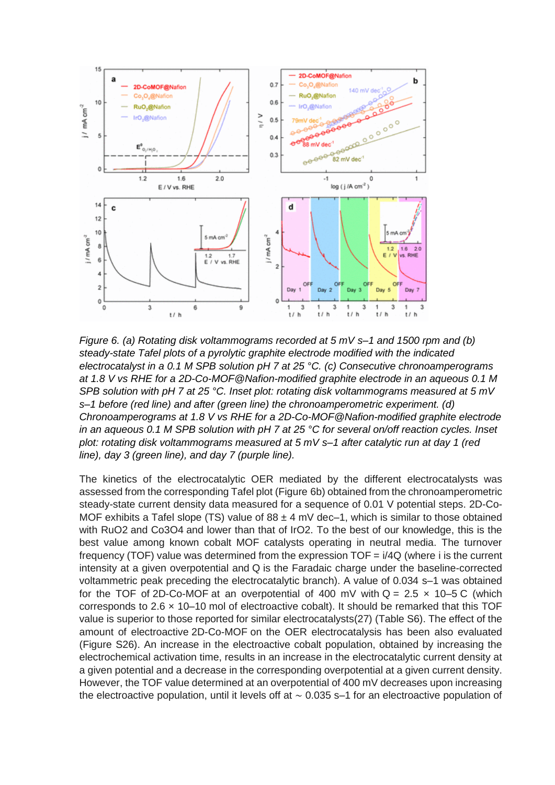

*Figure 6. (a) Rotating disk voltammograms recorded at 5 mV s–1 and 1500 rpm and (b) steady-state Tafel plots of a pyrolytic graphite electrode modified with the indicated electrocatalyst in a 0.1 M SPB solution pH 7 at 25 °C. (c) Consecutive chronoamperograms at 1.8 V vs RHE for a 2D-Co-MOF@Nafion-modified graphite electrode in an aqueous 0.1 M SPB solution with pH 7 at 25 °C. Inset plot: rotating disk voltammograms measured at 5 mV s–1 before (red line) and after (green line) the chronoamperometric experiment. (d) Chronoamperograms at 1.8 V vs RHE for a 2D-Co-MOF@Nafion-modified graphite electrode in an aqueous 0.1 M SPB solution with pH 7 at 25 °C for several on/off reaction cycles. Inset plot: rotating disk voltammograms measured at 5 mV s–1 after catalytic run at day 1 (red line), day 3 (green line), and day 7 (purple line).*

The kinetics of the electrocatalytic OER mediated by the different electrocatalysts was assessed from the corresponding Tafel plot [\(Figure](https://pubs.acs.org/doi/10.1021/jacs.0c08882#fig6) [6b](https://pubs.acs.org/doi/10.1021/jacs.0c08882#fig6)) obtained from the chronoamperometric steady-state current density data measured for a sequence of 0.01 V potential steps. 2D-Co-MOF exhibits a Tafel slope (TS) value of  $88 \pm 4$  mV dec-1, which is similar to those obtained with RuO2 and Co3O4 and lower than that of IrO2. To the best of our knowledge, this is the best value among known cobalt MOF catalysts operating in neutral media. The turnover frequency (TOF) value was determined from the expression  $TOF = i/4Q$  (where i is the current intensity at a given overpotential and Q is the Faradaic charge under the baseline-corrected voltammetric peak preceding the electrocatalytic branch). A value of 0.034 s–1 was obtained for the TOF of 2D-Co-MOF at an overpotential of 400 mV with  $Q = 2.5 \times 10^{-5}$  C (which corresponds to 2.6 × 10–10 mol of electroactive cobalt). It should be remarked that this TOF value is superior to those reported for similar electrocatalyst[s\(27\)](javascript:void(0);) [\(Table S6\)](https://pubs.acs.org/doi/suppl/10.1021/jacs.0c08882/suppl_file/ja0c08882_si_001.pdf). The effect of the amount of electroactive 2D-Co-MOF on the OER electrocatalysis has been also evaluated [\(Figure S26\)](https://pubs.acs.org/doi/suppl/10.1021/jacs.0c08882/suppl_file/ja0c08882_si_001.pdf). An increase in the electroactive cobalt population, obtained by increasing the electrochemical activation time, results in an increase in the electrocatalytic current density at a given potential and a decrease in the corresponding overpotential at a given current density. However, the TOF value determined at an overpotential of 400 mV decreases upon increasing the electroactive population, until it levels off at ∼ 0.035 s–1 for an electroactive population of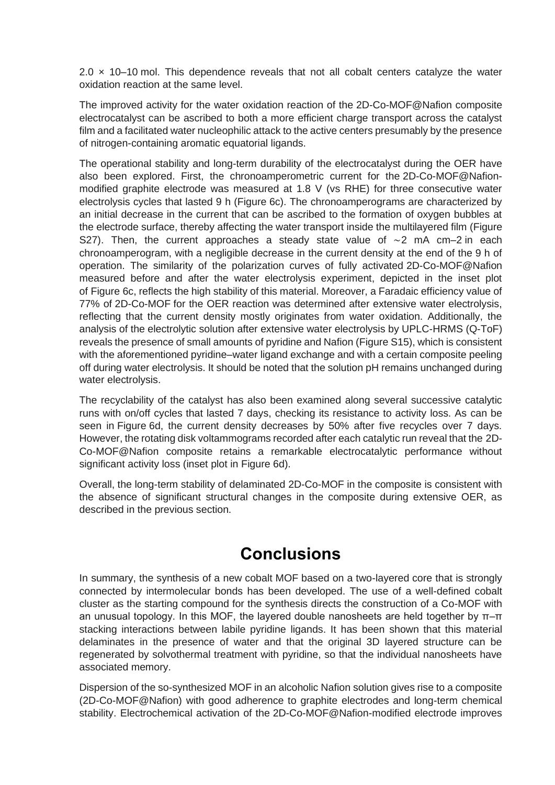2.0  $\times$  10–10 mol. This dependence reveals that not all cobalt centers catalyze the water oxidation reaction at the same level.

The improved activity for the water oxidation reaction of the 2D-Co-MOF@Nafion composite electrocatalyst can be ascribed to both a more efficient charge transport across the catalyst film and a facilitated water nucleophilic attack to the active centers presumably by the presence of nitrogen-containing aromatic equatorial ligands.

The operational stability and long-term durability of the electrocatalyst during the OER have also been explored. First, the chronoamperometric current for the 2D-Co-MOF@Nafionmodified graphite electrode was measured at 1.8 V (vs RHE) for three consecutive water electrolysis cycles that lasted 9 h [\(Figure](https://pubs.acs.org/doi/10.1021/jacs.0c08882#fig6) [6c](https://pubs.acs.org/doi/10.1021/jacs.0c08882#fig6)). The chronoamperograms are characterized by an initial decrease in the current that can be ascribed to the formation of oxygen bubbles at the electrode surface, thereby affecting the water transport inside the multilayered film [\(Figure](https://pubs.acs.org/doi/suppl/10.1021/jacs.0c08882/suppl_file/ja0c08882_si_001.pdf)  [S27\)](https://pubs.acs.org/doi/suppl/10.1021/jacs.0c08882/suppl_file/ja0c08882_si_001.pdf). Then, the current approaches a steady state value of ∼2 mA cm–2 in each chronoamperogram, with a negligible decrease in the current density at the end of the 9 h of operation. The similarity of the polarization curves of fully activated 2D-Co-MOF@Nafion measured before and after the water electrolysis experiment, depicted in the inset plot of [Figure](https://pubs.acs.org/doi/10.1021/jacs.0c08882#fig6) [6c](https://pubs.acs.org/doi/10.1021/jacs.0c08882#fig6), reflects the high stability of this material. Moreover, a Faradaic efficiency value of 77% of 2D-Co-MOF for the OER reaction was determined after extensive water electrolysis, reflecting that the current density mostly originates from water oxidation. Additionally, the analysis of the electrolytic solution after extensive water electrolysis by UPLC-HRMS (Q-ToF) reveals the presence of small amounts of pyridine and Nafion [\(Figure S15\)](https://pubs.acs.org/doi/suppl/10.1021/jacs.0c08882/suppl_file/ja0c08882_si_001.pdf), which is consistent with the aforementioned pyridine–water ligand exchange and with a certain composite peeling off during water electrolysis. It should be noted that the solution pH remains unchanged during water electrolysis.

The recyclability of the catalyst has also been examined along several successive catalytic runs with on/off cycles that lasted 7 days, checking its resistance to activity loss. As can be seen in [Figure](https://pubs.acs.org/doi/10.1021/jacs.0c08882#fig6) [6d](https://pubs.acs.org/doi/10.1021/jacs.0c08882#fig6), the current density decreases by 50% after five recycles over 7 days. However, the rotating disk voltammograms recorded after each catalytic run reveal that the 2D-Co-MOF@Nafion composite retains a remarkable electrocatalytic performance without significant activity loss (inset plot in [Figure](https://pubs.acs.org/doi/10.1021/jacs.0c08882#fig6) [6d](https://pubs.acs.org/doi/10.1021/jacs.0c08882#fig6)).

Overall, the long-term stability of delaminated 2D-Co-MOF in the composite is consistent with the absence of significant structural changes in the composite during extensive OER, as described in the previous section.

### **Conclusions**

In summary, the synthesis of a new cobalt MOF based on a two-layered core that is strongly connected by intermolecular bonds has been developed. The use of a well-defined cobalt cluster as the starting compound for the synthesis directs the construction of a Co-MOF with an unusual topology. In this MOF, the layered double nanosheets are held together by  $\pi-\pi$ stacking interactions between labile pyridine ligands. It has been shown that this material delaminates in the presence of water and that the original 3D layered structure can be regenerated by solvothermal treatment with pyridine, so that the individual nanosheets have associated memory.

Dispersion of the so-synthesized MOF in an alcoholic Nafion solution gives rise to a composite (2D-Co-MOF@Nafion) with good adherence to graphite electrodes and long-term chemical stability. Electrochemical activation of the 2D-Co-MOF@Nafion-modified electrode improves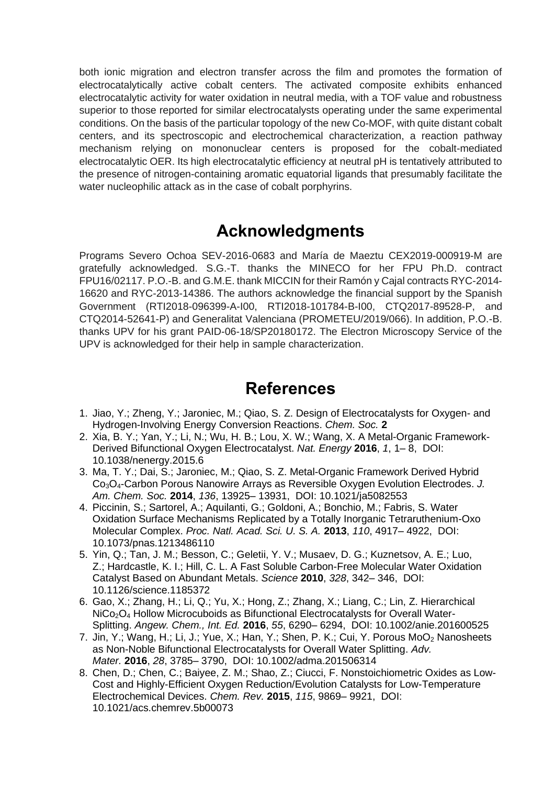both ionic migration and electron transfer across the film and promotes the formation of electrocatalytically active cobalt centers. The activated composite exhibits enhanced electrocatalytic activity for water oxidation in neutral media, with a TOF value and robustness superior to those reported for similar electrocatalysts operating under the same experimental conditions. On the basis of the particular topology of the new Co-MOF, with quite distant cobalt centers, and its spectroscopic and electrochemical characterization, a reaction pathway mechanism relying on mononuclear centers is proposed for the cobalt-mediated electrocatalytic OER. Its high electrocatalytic efficiency at neutral pH is tentatively attributed to the presence of nitrogen-containing aromatic equatorial ligands that presumably facilitate the water nucleophilic attack as in the case of cobalt porphyrins.

### **Acknowledgments**

Programs Severo Ochoa SEV-2016-0683 and María de Maeztu CEX2019-000919-M are gratefully acknowledged. S.G.-T. thanks the MINECO for her FPU Ph.D. contract FPU16/02117. P.O.-B. and G.M.E. thank MICCIN for their Ramón y Cajal contracts RYC-2014- 16620 and RYC-2013-14386. The authors acknowledge the financial support by the Spanish Government (RTI2018-096399-A-I00, RTI2018-101784-B-I00, CTQ2017-89528-P, and CTQ2014-52641-P) and Generalitat Valenciana (PROMETEU/2019/066). In addition, P.O.-B. thanks UPV for his grant PAID-06-18/SP20180172. The Electron Microscopy Service of the UPV is acknowledged for their help in sample characterization.

### **References**

- 1. Jiao, Y.; Zheng, Y.; Jaroniec, M.; Qiao, S. Z. Design of Electrocatalysts for Oxygen- and Hydrogen-Involving Energy Conversion Reactions. *Chem. Soc.* **[2](javascript:void(0);)**
- 2. Xia, B. Y.; Yan, Y.; Li, N.; Wu, H. B.; Lou, X. W.; Wang, X. A Metal-Organic Framework-Derived Bifunctional Oxygen Electrocatalyst. *Nat. Energy* **2016**, *1*, 1– 8, DOI: 10.1038/nenergy.2015.6
- 3. Ma, T. Y.; Dai, S.; Jaroniec, M.; Qiao, S. Z. Metal-Organic Framework Derived Hybrid Co3O4-Carbon Porous Nanowire Arrays as Reversible Oxygen Evolution Electrodes. *J. Am. Chem. Soc.* **2014**, *136*, 13925– 13931, DOI: 10.1021/ja5082553
- 4. Piccinin, S.; Sartorel, A.; Aquilanti, G.; Goldoni, A.; Bonchio, M.; Fabris, S. Water Oxidation Surface Mechanisms Replicated by a Totally Inorganic Tetraruthenium-Oxo Molecular Complex. *Proc. Natl. Acad. Sci. U. S. A.* **2013**, *110*, 4917– 4922, DOI: 10.1073/pnas.1213486110
- 5. Yin, Q.; Tan, J. M.; Besson, C.; Geletii, Y. V.; Musaev, D. G.; Kuznetsov, A. E.; Luo, Z.; Hardcastle, K. I.; Hill, C. L. A Fast Soluble Carbon-Free Molecular Water Oxidation Catalyst Based on Abundant Metals. *Science* **2010**, *328*, 342– 346, DOI: 10.1126/science.1185372
- 6. Gao, X.; Zhang, H.; Li, Q.; Yu, X.; Hong, Z.; Zhang, X.; Liang, C.; Lin, Z. Hierarchical NiCo<sub>2</sub>O<sub>4</sub> Hollow Microcuboids as Bifunctional Electrocatalysts for Overall Water-Splitting. *Angew. Chem., Int. Ed.* **2016**, *55*, 6290– 6294, DOI: 10.1002/anie.201600525
- 7. Jin, Y.; Wang, H.; Li, J.; Yue, X.; Han, Y.; Shen, P. K.; Cui, Y. Porous MoO<sup>2</sup> Nanosheets as Non-Noble Bifunctional Electrocatalysts for Overall Water Splitting. *Adv. Mater.* **2016**, *28*, 3785– 3790, DOI: 10.1002/adma.201506314
- 8. Chen, D.; Chen, C.; Baiyee, Z. M.; Shao, Z.; Ciucci, F. Nonstoichiometric Oxides as Low-Cost and Highly-Efficient Oxygen Reduction/Evolution Catalysts for Low-Temperature Electrochemical Devices. *Chem. Rev.* **2015**, *115*, 9869– 9921, DOI: 10.1021/acs.chemrev.5b00073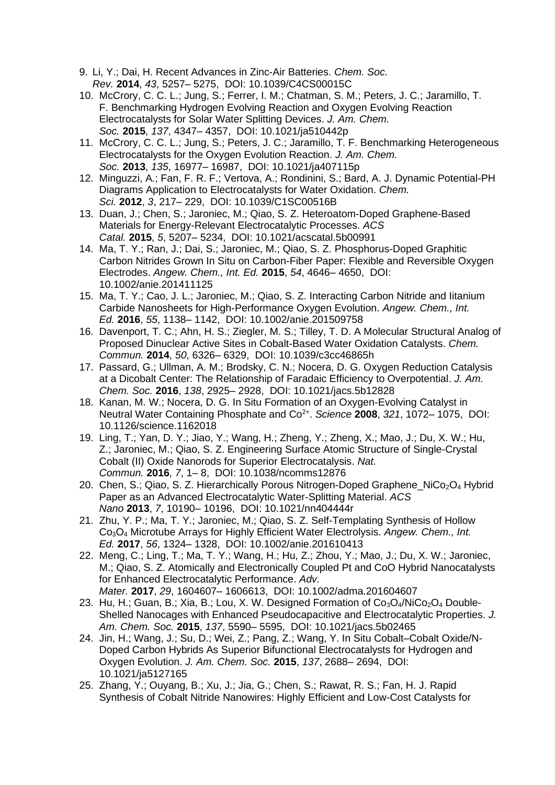- 9. Li, Y.; Dai, H. Recent Advances in Zinc-Air Batteries. *Chem. Soc. Rev.* **2014**, *43*, 5257– 5275, DOI: 10.1039/C4CS00015C
- 10. McCrory, C. C. L.; Jung, S.; Ferrer, I. M.; Chatman, S. M.; Peters, J. C.; Jaramillo, T. F. Benchmarking Hydrogen Evolving Reaction and Oxygen Evolving Reaction Electrocatalysts for Solar Water Splitting Devices. *J. Am. Chem. Soc.* **2015**, *137*, 4347– 4357, DOI: 10.1021/ja510442p
- 11. McCrory, C. C. L.; Jung, S.; Peters, J. C.; Jaramillo, T. F. Benchmarking Heterogeneous Electrocatalysts for the Oxygen Evolution Reaction. *J. Am. Chem. Soc.* **2013**, *135*, 16977– 16987, DOI: 10.1021/ja407115p
- 12. Minguzzi, A.; Fan, F. R. F.; Vertova, A.; Rondinini, S.; Bard, A. J. Dynamic Potential-PH Diagrams Application to Electrocatalysts for Water Oxidation. *Chem. Sci.* **2012**, *3*, 217– 229, DOI: 10.1039/C1SC00516B
- 13. Duan, J.; Chen, S.; Jaroniec, M.; Qiao, S. Z. Heteroatom-Doped Graphene-Based Materials for Energy-Relevant Electrocatalytic Processes. *ACS Catal.* **2015**, *5*, 5207– 5234, DOI: 10.1021/acscatal.5b00991
- 14. Ma, T. Y.; Ran, J.; Dai, S.; Jaroniec, M.; Qiao, S. Z. Phosphorus-Doped Graphitic Carbon Nitrides Grown In Situ on Carbon-Fiber Paper: Flexible and Reversible Oxygen Electrodes. *Angew. Chem., Int. Ed.* **2015**, *54*, 4646– 4650, DOI: 10.1002/anie.201411125
- 15. Ma, T. Y.; Cao, J. L.; Jaroniec, M.; Qiao, S. Z. Interacting Carbon Nitride and Iitanium Carbide Nanosheets for High-Performance Oxygen Evolution. *Angew. Chem., Int. Ed.* **2016**, *55*, 1138– 1142, DOI: 10.1002/anie.201509758
- 16. Davenport, T. C.; Ahn, H. S.; Ziegler, M. S.; Tilley, T. D. A Molecular Structural Analog of Proposed Dinuclear Active Sites in Cobalt-Based Water Oxidation Catalysts. *Chem. Commun.* **2014**, *50*, 6326– 6329, DOI: 10.1039/c3cc46865h
- 17. Passard, G.; Ullman, A. M.; Brodsky, C. N.; Nocera, D. G. Oxygen Reduction Catalysis at a Dicobalt Center: The Relationship of Faradaic Efficiency to Overpotential. *J. Am. Chem. Soc.* **2016**, *138*, 2925– 2928, DOI: 10.1021/jacs.5b12828
- 18. Kanan, M. W.; Nocera, D. G. In Situ Formation of an Oxygen-Evolving Catalyst in Neutral Water Containing Phosphate and Co<sup>2+</sup>. Science 2008, 321, 1072-1075, DOI: 10.1126/science.1162018
- 19. Ling, T.; Yan, D. Y.; Jiao, Y.; Wang, H.; Zheng, Y.; Zheng, X.; Mao, J.; Du, X. W.; Hu, Z.; Jaroniec, M.; Qiao, S. Z. Engineering Surface Atomic Structure of Single-Crystal Cobalt (II) Oxide Nanorods for Superior Electrocatalysis. *Nat. Commun.* **2016**, *7*, 1– 8, DOI: 10.1038/ncomms12876
- 20. Chen, S.; Qiao, S. Z. Hierarchically Porous Nitrogen-Doped Graphene NiCo<sub>2</sub>O<sub>4</sub> Hybrid Paper as an Advanced Electrocatalytic Water-Splitting Material. *ACS Nano* **2013**, *7*, 10190– 10196, DOI: 10.1021/nn404444r
- 21. Zhu, Y. P.; Ma, T. Y.; Jaroniec, M.; Qiao, S. Z. Self-Templating Synthesis of Hollow Co3O<sup>4</sup> Microtube Arrays for Highly Efficient Water Electrolysis. *Angew. Chem., Int. Ed.* **2017**, *56*, 1324– 1328, DOI: 10.1002/anie.201610413
- 22. Meng, C.; Ling, T.; Ma, T. Y.; Wang, H.; Hu, Z.; Zhou, Y.; Mao, J.; Du, X. W.; Jaroniec, M.; Qiao, S. Z. Atomically and Electronically Coupled Pt and CoO Hybrid Nanocatalysts for Enhanced Electrocatalytic Performance. *Adv. Mater.* **2017**, *29*, 1604607– 1606613, DOI: 10.1002/adma.201604607
- 23. Hu, H.; Guan, B.; Xia, B.; Lou, X. W. Designed Formation of  $Co<sub>3</sub>O<sub>4</sub>/NiCo<sub>2</sub>O<sub>4</sub> Double-$ Shelled Nanocages with Enhanced Pseudocapacitive and Electrocatalytic Properties. *J. Am. Chem. Soc.* **2015**, *137*, 5590– 5595, DOI: 10.1021/jacs.5b02465
- 24. Jin, H.; Wang, J.; Su, D.; Wei, Z.; Pang, Z.; Wang, Y. In Situ Cobalt–Cobalt Oxide/N-Doped Carbon Hybrids As Superior Bifunctional Electrocatalysts for Hydrogen and Oxygen Evolution. *J. Am. Chem. Soc.* **2015**, *137*, 2688– 2694, DOI: 10.1021/ja5127165
- 25. Zhang, Y.; Ouyang, B.; Xu, J.; Jia, G.; Chen, S.; Rawat, R. S.; Fan, H. J. Rapid Synthesis of Cobalt Nitride Nanowires: Highly Efficient and Low-Cost Catalysts for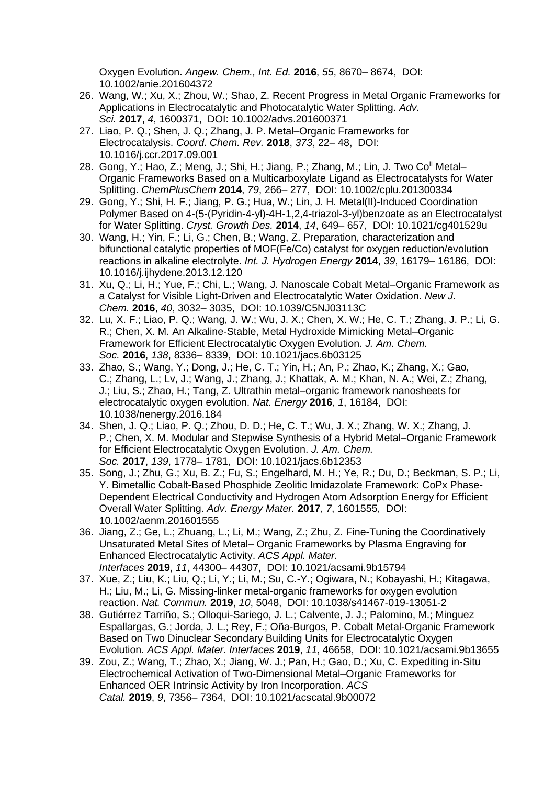Oxygen Evolution. *Angew. Chem., Int. Ed.* **2016**, *55*, 8670– 8674, DOI: 10.1002/anie.201604372

- 26. Wang, W.; Xu, X.; Zhou, W.; Shao, Z. Recent Progress in Metal Organic Frameworks for Applications in Electrocatalytic and Photocatalytic Water Splitting. *Adv. Sci.* **2017**, *4*, 1600371, DOI: 10.1002/advs.201600371
- 27. Liao, P. Q.; Shen, J. Q.; Zhang, J. P. Metal–Organic Frameworks for Electrocatalysis. *Coord. Chem. Rev.* **2018**, *373*, 22– 48, DOI: 10.1016/j.ccr.2017.09.001
- 28. Gong, Y.; Hao, Z.; Meng, J.; Shi, H.; Jiang, P.; Zhang, M.; Lin, J. Two Co<sup>ll</sup> Metal– Organic Frameworks Based on a Multicarboxylate Ligand as Electrocatalysts for Water Splitting. *ChemPlusChem* **2014**, *79*, 266– 277, DOI: 10.1002/cplu.201300334
- 29. Gong, Y.; Shi, H. F.; Jiang, P. G.; Hua, W.; Lin, J. H. Metal(II)-Induced Coordination Polymer Based on 4-(5-(Pyridin-4-yl)-4H-1,2,4-triazol-3-yl)benzoate as an Electrocatalyst for Water Splitting. *Cryst. Growth Des.* **2014**, *14*, 649– 657, DOI: 10.1021/cg401529u
- 30. Wang, H.; Yin, F.; Li, G.; Chen, B.; Wang, Z. Preparation, characterization and bifunctional catalytic properties of MOF(Fe/Co) catalyst for oxygen reduction/evolution reactions in alkaline electrolyte. *Int. J. Hydrogen Energy* **2014**, *39*, 16179– 16186, DOI: 10.1016/j.ijhydene.2013.12.120
- 31. Xu, Q.; Li, H.; Yue, F.; Chi, L.; Wang, J. Nanoscale Cobalt Metal–Organic Framework as a Catalyst for Visible Light-Driven and Electrocatalytic Water Oxidation. *New J. Chem.* **2016**, *40*, 3032– 3035, DOI: 10.1039/C5NJ03113C
- 32. Lu, X. F.; Liao, P. Q.; Wang, J. W.; Wu, J. X.; Chen, X. W.; He, C. T.; Zhang, J. P.; Li, G. R.; Chen, X. M. An Alkaline-Stable, Metal Hydroxide Mimicking Metal–Organic Framework for Efficient Electrocatalytic Oxygen Evolution. *J. Am. Chem. Soc.* **2016**, *138*, 8336– 8339, DOI: 10.1021/jacs.6b03125
- 33. Zhao, S.; Wang, Y.; Dong, J.; He, C. T.; Yin, H.; An, P.; Zhao, K.; Zhang, X.; Gao, C.; Zhang, L.; Lv, J.; Wang, J.; Zhang, J.; Khattak, A. M.; Khan, N. A.; Wei, Z.; Zhang, J.; Liu, S.; Zhao, H.; Tang, Z. Ultrathin metal–organic framework nanosheets for electrocatalytic oxygen evolution. *Nat. Energy* **2016**, *1*, 16184, DOI: 10.1038/nenergy.2016.184
- 34. Shen, J. Q.; Liao, P. Q.; Zhou, D. D.; He, C. T.; Wu, J. X.; Zhang, W. X.; Zhang, J. P.; Chen, X. M. Modular and Stepwise Synthesis of a Hybrid Metal–Organic Framework for Efficient Electrocatalytic Oxygen Evolution. *J. Am. Chem. Soc.* **2017**, *139*, 1778– 1781, DOI: 10.1021/jacs.6b12353
- 35. Song, J.; Zhu, G.; Xu, B. Z.; Fu, S.; Engelhard, M. H.; Ye, R.; Du, D.; Beckman, S. P.; Li, Y. Bimetallic Cobalt-Based Phosphide Zeolitic Imidazolate Framework: CoPx Phase-Dependent Electrical Conductivity and Hydrogen Atom Adsorption Energy for Efficient Overall Water Splitting. *Adv. Energy Mater.* **2017**, *7*, 1601555, DOI: 10.1002/aenm.201601555
- 36. Jiang, Z.; Ge, L.; Zhuang, L.; Li, M.; Wang, Z.; Zhu, Z. Fine-Tuning the Coordinatively Unsaturated Metal Sites of Metal– Organic Frameworks by Plasma Engraving for Enhanced Electrocatalytic Activity. *ACS Appl. Mater. Interfaces* **2019**, *11*, 44300– 44307, DOI: 10.1021/acsami.9b15794
- 37. Xue, Z.; Liu, K.; Liu, Q.; Li, Y.; Li, M.; Su, C.-Y.; Ogiwara, N.; Kobayashi, H.; Kitagawa, H.; Liu, M.; Li, G. Missing-linker metal-organic frameworks for oxygen evolution reaction. *Nat. Commun.* **2019**, *10*, 5048, DOI: 10.1038/s41467-019-13051-2
- 38. Gutiérrez Tarriño, S.; Olloqui-Sariego, J. L.; Calvente, J. J.; Palomino, M.; Minguez Espallargas, G.; Jorda, J. L.; Rey, F.; Oña-Burgos, P. Cobalt Metal-Organic Framework Based on Two Dinuclear Secondary Building Units for Electrocatalytic Oxygen Evolution. *ACS Appl. Mater. Interfaces* **2019**, *11*, 46658, DOI: 10.1021/acsami.9b13655
- 39. Zou, Z.; Wang, T.; Zhao, X.; Jiang, W. J.; Pan, H.; Gao, D.; Xu, C. Expediting in-Situ Electrochemical Activation of Two-Dimensional Metal–Organic Frameworks for Enhanced OER Intrinsic Activity by Iron Incorporation. *ACS Catal.* **2019**, *9*, 7356– 7364, DOI: 10.1021/acscatal.9b00072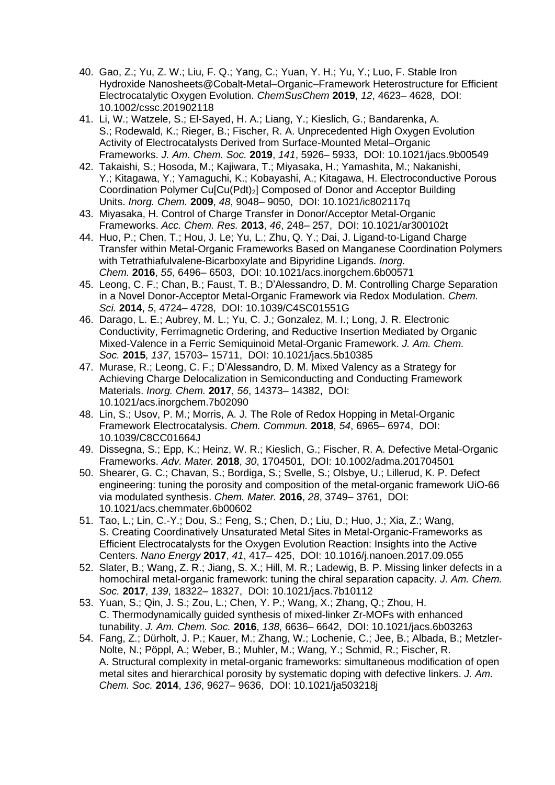- 40. Gao, Z.; Yu, Z. W.; Liu, F. Q.; Yang, C.; Yuan, Y. H.; Yu, Y.; Luo, F. Stable Iron Hydroxide Nanosheets@Cobalt-Metal–Organic–Framework Heterostructure for Efficient Electrocatalytic Oxygen Evolution. *ChemSusChem* **2019**, *12*, 4623– 4628, DOI: 10.1002/cssc.201902118
- 41. Li, W.; Watzele, S.; El-Sayed, H. A.; Liang, Y.; Kieslich, G.; Bandarenka, A. S.; Rodewald, K.; Rieger, B.; Fischer, R. A. Unprecedented High Oxygen Evolution Activity of Electrocatalysts Derived from Surface-Mounted Metal–Organic Frameworks. *J. Am. Chem. Soc.* **2019**, *141*, 5926– 5933, DOI: 10.1021/jacs.9b00549
- 42. Takaishi, S.; Hosoda, M.; Kajiwara, T.; Miyasaka, H.; Yamashita, M.; Nakanishi, Y.; Kitagawa, Y.; Yamaguchi, K.; Kobayashi, A.; Kitagawa, H. Electroconductive Porous Coordination Polymer Cu[Cu(Pdt)2] Composed of Donor and Acceptor Building Units. *Inorg. Chem.* **2009**, *48*, 9048– 9050, DOI: 10.1021/ic802117q
- 43. Miyasaka, H. Control of Charge Transfer in Donor/Acceptor Metal-Organic Frameworks. *Acc. Chem. Res.* **2013**, *46*, 248– 257, DOI: 10.1021/ar300102t
- 44. Huo, P.; Chen, T.; Hou, J. Le; Yu, L.; Zhu, Q. Y.; Dai, J. Ligand-to-Ligand Charge Transfer within Metal-Organic Frameworks Based on Manganese Coordination Polymers with Tetrathiafulvalene-Bicarboxylate and Bipyridine Ligands. *Inorg. Chem.* **2016**, *55*, 6496– 6503, DOI: 10.1021/acs.inorgchem.6b00571
- 45. Leong, C. F.; Chan, B.; Faust, T. B.; D'Alessandro, D. M. Controlling Charge Separation in a Novel Donor-Acceptor Metal-Organic Framework via Redox Modulation. *Chem. Sci.* **2014**, *5*, 4724– 4728, DOI: 10.1039/C4SC01551G
- 46. Darago, L. E.; Aubrey, M. L.; Yu, C. J.; Gonzalez, M. I.; Long, J. R. Electronic Conductivity, Ferrimagnetic Ordering, and Reductive Insertion Mediated by Organic Mixed-Valence in a Ferric Semiquinoid Metal-Organic Framework. *J. Am. Chem. Soc.* **2015**, *137*, 15703– 15711, DOI: 10.1021/jacs.5b10385
- 47. Murase, R.; Leong, C. F.; D'Alessandro, D. M. Mixed Valency as a Strategy for Achieving Charge Delocalization in Semiconducting and Conducting Framework Materials. *Inorg. Chem.* **2017**, *56*, 14373– 14382, DOI: 10.1021/acs.inorgchem.7b02090
- 48. Lin, S.; Usov, P. M.; Morris, A. J. The Role of Redox Hopping in Metal-Organic Framework Electrocatalysis. *Chem. Commun.* **2018**, *54*, 6965– 6974, DOI: 10.1039/C8CC01664J
- 49. Dissegna, S.; Epp, K.; Heinz, W. R.; Kieslich, G.; Fischer, R. A. Defective Metal-Organic Frameworks. *Adv. Mater.* **2018**, *30*, 1704501, DOI: 10.1002/adma.201704501
- 50. Shearer, G. C.; Chavan, S.; Bordiga, S.; Svelle, S.; Olsbye, U.; Lillerud, K. P. Defect engineering: tuning the porosity and composition of the metal-organic framework UiO-66 via modulated synthesis. *Chem. Mater.* **2016**, *28*, 3749– 3761, DOI: 10.1021/acs.chemmater.6b00602
- 51. Tao, L.; Lin, C.-Y.; Dou, S.; Feng, S.; Chen, D.; Liu, D.; Huo, J.; Xia, Z.; Wang, S. Creating Coordinatively Unsaturated Metal Sites in Metal-Organic-Frameworks as Efficient Electrocatalysts for the Oxygen Evolution Reaction: Insights into the Active Centers. *Nano Energy* **2017**, *41*, 417– 425, DOI: 10.1016/j.nanoen.2017.09.055
- 52. Slater, B.; Wang, Z. R.; Jiang, S. X.; Hill, M. R.; Ladewig, B. P. Missing linker defects in a homochiral metal-organic framework: tuning the chiral separation capacity. *J. Am. Chem. Soc.* **2017**, *139*, 18322– 18327, DOI: 10.1021/jacs.7b10112
- 53. Yuan, S.; Qin, J. S.; Zou, L.; Chen, Y. P.; Wang, X.; Zhang, Q.; Zhou, H. C. Thermodynamically guided synthesis of mixed-linker Zr-MOFs with enhanced tunability. *J. Am. Chem. Soc.* **2016**, *138*, 6636– 6642, DOI: 10.1021/jacs.6b03263
- 54. Fang, Z.; Dürholt, J. P.; Kauer, M.; Zhang, W.; Lochenie, C.; Jee, B.; Albada, B.; Metzler-Nolte, N.; Pöppl, A.; Weber, B.; Muhler, M.; Wang, Y.; Schmid, R.; Fischer, R. A. Structural complexity in metal-organic frameworks: simultaneous modification of open metal sites and hierarchical porosity by systematic doping with defective linkers. *J. Am. Chem. Soc.* **2014**, *136*, 9627– 9636, DOI: 10.1021/ja503218j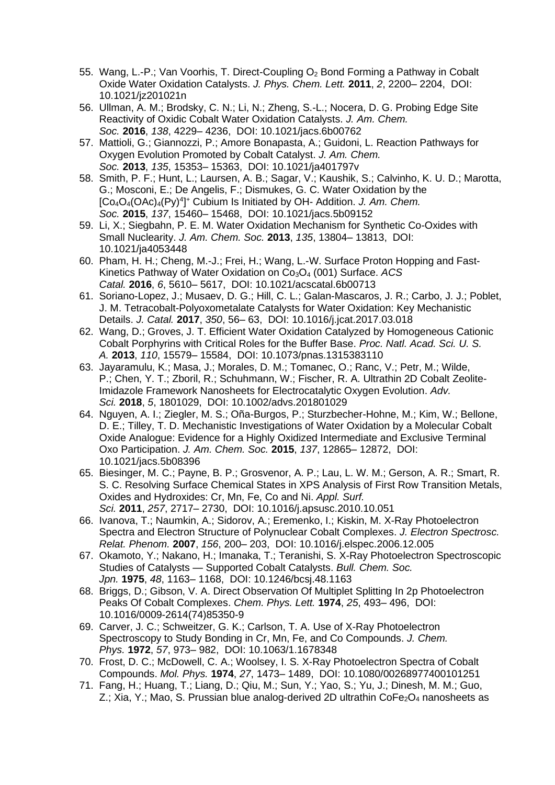- 55. Wang, L.-P.; Van Voorhis, T. Direct-Coupling  $O<sub>2</sub>$  Bond Forming a Pathway in Cobalt Oxide Water Oxidation Catalysts. *J. Phys. Chem. Lett.* **2011**, *2*, 2200– 2204, DOI: 10.1021/jz201021n
- 56. Ullman, A. M.; Brodsky, C. N.; Li, N.; Zheng, S.-L.; Nocera, D. G. Probing Edge Site Reactivity of Oxidic Cobalt Water Oxidation Catalysts. *J. Am. Chem. Soc.* **2016**, *138*, 4229– 4236, DOI: 10.1021/jacs.6b00762
- 57. Mattioli, G.; Giannozzi, P.; Amore Bonapasta, A.; Guidoni, L. Reaction Pathways for Oxygen Evolution Promoted by Cobalt Catalyst. *J. Am. Chem. Soc.* **2013**, *135*, 15353– 15363, DOI: 10.1021/ja401797v
- 58. Smith, P. F.; Hunt, L.; Laursen, A. B.; Sagar, V.; Kaushik, S.; Calvinho, K. U. D.; Marotta, G.; Mosconi, E.; De Angelis, F.; Dismukes, G. C. Water Oxidation by the [Co<sub>4</sub>O<sub>4</sub>(OAc)<sub>4</sub>(Py)<sup>4</sup>]<sup>+</sup> Cubium Is Initiated by OH- Addition. *J. Am. Chem. Soc.* **2015**, *137*, 15460– 15468, DOI: 10.1021/jacs.5b09152
- 59. Li, X.; Siegbahn, P. E. M. Water Oxidation Mechanism for Synthetic Co-Oxides with Small Nuclearity. *J. Am. Chem. Soc.* **2013**, *135*, 13804– 13813, DOI: 10.1021/ja4053448
- 60. Pham, H. H.; Cheng, M.-J.; Frei, H.; Wang, L.-W. Surface Proton Hopping and Fast-Kinetics Pathway of Water Oxidation on Co<sub>3</sub>O<sub>4</sub> (001) Surface. *ACS Catal.* **2016**, *6*, 5610– 5617, DOI: 10.1021/acscatal.6b00713
- 61. Soriano-Lopez, J.; Musaev, D. G.; Hill, C. L.; Galan-Mascaros, J. R.; Carbo, J. J.; Poblet, J. M. Tetracobalt-Polyoxometalate Catalysts for Water Oxidation: Key Mechanistic Details. *J. Catal.* **2017**, *350*, 56– 63, DOI: 10.1016/j.jcat.2017.03.018
- 62. Wang, D.; Groves, J. T. Efficient Water Oxidation Catalyzed by Homogeneous Cationic Cobalt Porphyrins with Critical Roles for the Buffer Base. *Proc. Natl. Acad. Sci. U. S. A.* **2013**, *110*, 15579– 15584, DOI: 10.1073/pnas.1315383110
- 63. Jayaramulu, K.; Masa, J.; Morales, D. M.; Tomanec, O.; Ranc, V.; Petr, M.; Wilde, P.; Chen, Y. T.; Zboril, R.; Schuhmann, W.; Fischer, R. A. Ultrathin 2D Cobalt Zeolite-Imidazole Framework Nanosheets for Electrocatalytic Oxygen Evolution. *Adv. Sci.* **2018**, *5*, 1801029, DOI: 10.1002/advs.201801029
- 64. Nguyen, A. I.; Ziegler, M. S.; Oña-Burgos, P.; Sturzbecher-Hohne, M.; Kim, W.; Bellone, D. E.; Tilley, T. D. Mechanistic Investigations of Water Oxidation by a Molecular Cobalt Oxide Analogue: Evidence for a Highly Oxidized Intermediate and Exclusive Terminal Oxo Participation. *J. Am. Chem. Soc.* **2015**, *137*, 12865– 12872, DOI: 10.1021/jacs.5b08396
- 65. Biesinger, M. C.; Payne, B. P.; Grosvenor, A. P.; Lau, L. W. M.; Gerson, A. R.; Smart, R. S. C. Resolving Surface Chemical States in XPS Analysis of First Row Transition Metals, Oxides and Hydroxides: Cr, Mn, Fe, Co and Ni. *Appl. Surf. Sci.* **2011**, *257*, 2717– 2730, DOI: 10.1016/j.apsusc.2010.10.051
- 66. Ivanova, T.; Naumkin, A.; Sidorov, A.; Eremenko, I.; Kiskin, M. X-Ray Photoelectron Spectra and Electron Structure of Polynuclear Cobalt Complexes. *J. Electron Spectrosc. Relat. Phenom.* **2007**, *156*, 200– 203, DOI: 10.1016/j.elspec.2006.12.005
- 67. Okamoto, Y.; Nakano, H.; Imanaka, T.; Teranishi, S. X-Ray Photoelectron Spectroscopic Studies of Catalysts — Supported Cobalt Catalysts. *Bull. Chem. Soc. Jpn.* **1975**, *48*, 1163– 1168, DOI: 10.1246/bcsj.48.1163
- 68. Briggs, D.; Gibson, V. A. Direct Observation Of Multiplet Splitting In 2p Photoelectron Peaks Of Cobalt Complexes. *Chem. Phys. Lett.* **1974**, *25*, 493– 496, DOI: 10.1016/0009-2614(74)85350-9
- 69. Carver, J. C.; Schweitzer, G. K.; Carlson, T. A. Use of X-Ray Photoelectron Spectroscopy to Study Bonding in Cr, Mn, Fe, and Co Compounds. *J. Chem. Phys.* **1972**, *57*, 973– 982, DOI: 10.1063/1.1678348
- 70. Frost, D. C.; McDowell, C. A.; Woolsey, I. S. X-Ray Photoelectron Spectra of Cobalt Compounds. *Mol. Phys.* **1974**, *27*, 1473– 1489, DOI: 10.1080/00268977400101251
- 71. Fang, H.; Huang, T.; Liang, D.; Qiu, M.; Sun, Y.; Yao, S.; Yu, J.; Dinesh, M. M.; Guo, Z.; Xia, Y.; Mao, S. Prussian blue analog-derived 2D ultrathin  $CoFe<sub>2</sub>O<sub>4</sub>$  nanosheets as